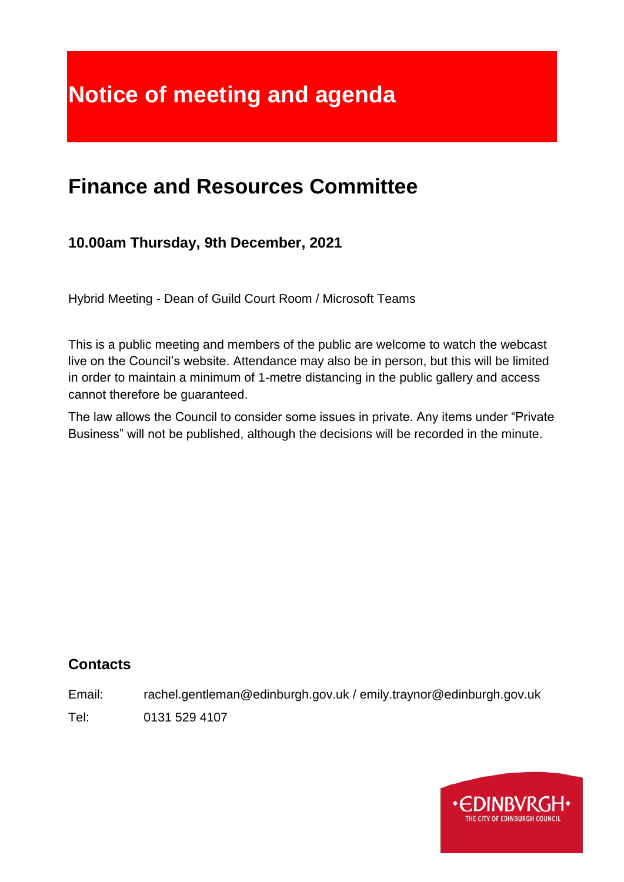# **Notice of meeting and agenda**

# **Finance and Resources Committee**

# **10.00am Thursday, 9th December, 2021**

Hybrid Meeting - Dean of Guild Court Room / Microsoft Teams

This is a public meeting and members of the public are welcome to watch the webcast live on the Council's website. Attendance may also be in person, but this will be limited in order to maintain a minimum of 1-metre distancing in the public gallery and access cannot therefore be guaranteed.

The law allows the Council to consider some issues in private. Any items under "Private Business" will not be published, although the decisions will be recorded in the minute.

# **Contacts**

Email: rachel.gentleman@edinburgh.gov.uk / emily.traynor@edinburgh.gov.uk

Tel: 0131 529 4107

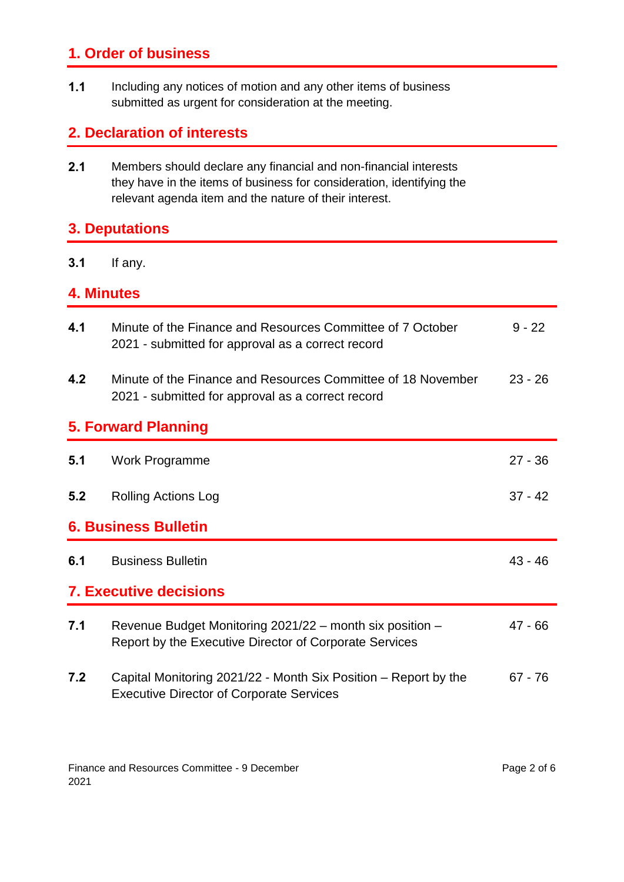# **1. Order of business**

**1.1** Including any notices of motion and any other items of business submitted as urgent for consideration at the meeting.

# **2. Declaration of interests**

**2.1** Members should declare any financial and non-financial interests they have in the items of business for consideration, identifying the relevant agenda item and the nature of their interest.

# **3. Deputations**

**3.1** If any.

#### **4. Minutes**

| 4.1                           | Minute of the Finance and Resources Committee of 7 October<br>2021 - submitted for approval as a correct record    | $9 - 22$  |  |  |  |
|-------------------------------|--------------------------------------------------------------------------------------------------------------------|-----------|--|--|--|
| 4.2                           | Minute of the Finance and Resources Committee of 18 November<br>2021 - submitted for approval as a correct record  | $23 - 26$ |  |  |  |
|                               | <b>5. Forward Planning</b>                                                                                         |           |  |  |  |
| 5.1                           | Work Programme                                                                                                     | $27 - 36$ |  |  |  |
| 5.2                           | <b>Rolling Actions Log</b>                                                                                         | $37 - 42$ |  |  |  |
| <b>6. Business Bulletin</b>   |                                                                                                                    |           |  |  |  |
| 6.1                           | <b>Business Bulletin</b>                                                                                           | $43 - 46$ |  |  |  |
| <b>7. Executive decisions</b> |                                                                                                                    |           |  |  |  |
| 7.1                           | Revenue Budget Monitoring 2021/22 - month six position -<br>Report by the Executive Director of Corporate Services | 47 - 66   |  |  |  |
| 7.2                           | Capital Monitoring 2021/22 - Month Six Position – Report by the<br><b>Executive Director of Corporate Services</b> | 67 - 76   |  |  |  |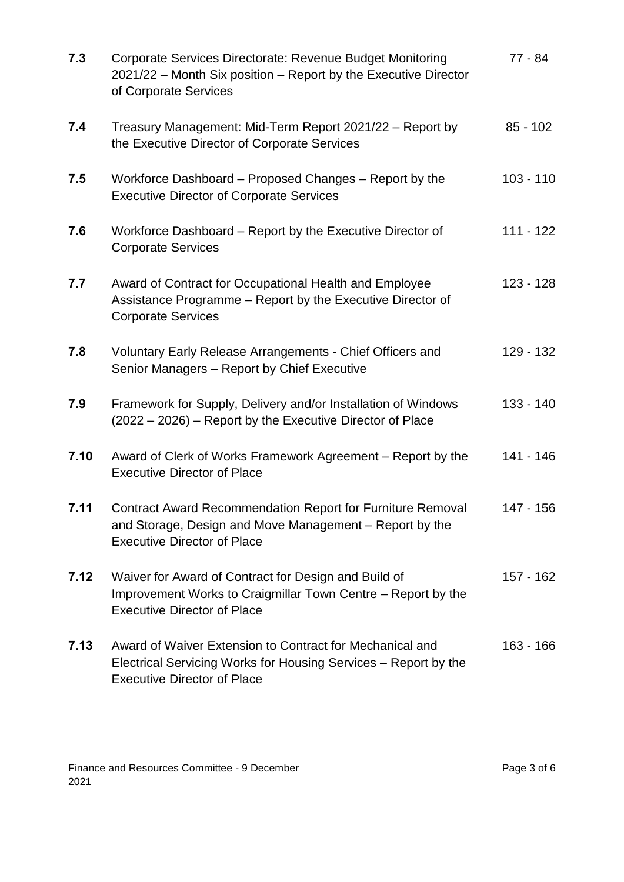| 7.3  | Corporate Services Directorate: Revenue Budget Monitoring<br>2021/22 - Month Six position - Report by the Executive Director<br>of Corporate Services              | 77 - 84     |
|------|--------------------------------------------------------------------------------------------------------------------------------------------------------------------|-------------|
| 7.4  | Treasury Management: Mid-Term Report 2021/22 - Report by<br>the Executive Director of Corporate Services                                                           | $85 - 102$  |
| 7.5  | Workforce Dashboard – Proposed Changes – Report by the<br><b>Executive Director of Corporate Services</b>                                                          | $103 - 110$ |
| 7.6  | Workforce Dashboard – Report by the Executive Director of<br><b>Corporate Services</b>                                                                             | $111 - 122$ |
| 7.7  | Award of Contract for Occupational Health and Employee<br>Assistance Programme - Report by the Executive Director of<br><b>Corporate Services</b>                  | $123 - 128$ |
| 7.8  | Voluntary Early Release Arrangements - Chief Officers and<br>Senior Managers - Report by Chief Executive                                                           | 129 - 132   |
| 7.9  | Framework for Supply, Delivery and/or Installation of Windows<br>(2022 – 2026) – Report by the Executive Director of Place                                         | $133 - 140$ |
| 7.10 | Award of Clerk of Works Framework Agreement – Report by the<br><b>Executive Director of Place</b>                                                                  | $141 - 146$ |
| 7.11 | <b>Contract Award Recommendation Report for Furniture Removal</b><br>and Storage, Design and Move Management – Report by the<br><b>Executive Director of Place</b> | 147 - 156   |
| 7.12 | Waiver for Award of Contract for Design and Build of<br>Improvement Works to Craigmillar Town Centre - Report by the<br><b>Executive Director of Place</b>         | $157 - 162$ |
| 7.13 | Award of Waiver Extension to Contract for Mechanical and<br>Electrical Servicing Works for Housing Services – Report by the<br><b>Executive Director of Place</b>  | $163 - 166$ |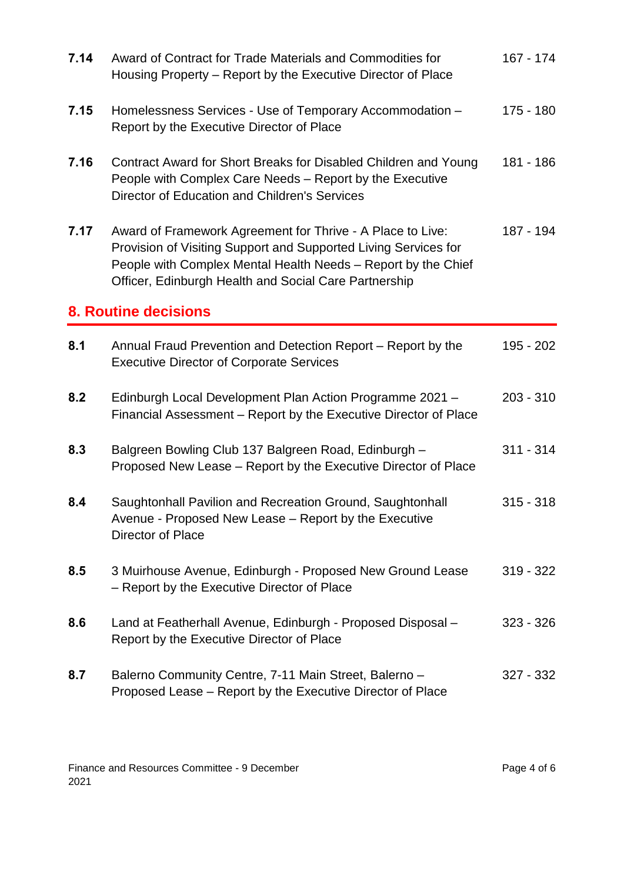| 7.14 | Award of Contract for Trade Materials and Commodities for<br>Housing Property – Report by the Executive Director of Place                                                                                                                               | $167 - 174$ |
|------|---------------------------------------------------------------------------------------------------------------------------------------------------------------------------------------------------------------------------------------------------------|-------------|
| 7.15 | Homelessness Services - Use of Temporary Accommodation -<br>Report by the Executive Director of Place                                                                                                                                                   | 175 - 180   |
| 7.16 | Contract Award for Short Breaks for Disabled Children and Young<br>People with Complex Care Needs - Report by the Executive<br>Director of Education and Children's Services                                                                            | 181 - 186   |
| 7.17 | Award of Framework Agreement for Thrive - A Place to Live:<br>Provision of Visiting Support and Supported Living Services for<br>People with Complex Mental Health Needs - Report by the Chief<br>Officer, Edinburgh Health and Social Care Partnership | 187 - 194   |
|      | <b>8. Routine decisions</b>                                                                                                                                                                                                                             |             |
| 8.1  | Annual Fraud Prevention and Detection Report – Report by the<br><b>Executive Director of Corporate Services</b>                                                                                                                                         | 195 - 202   |
| 8.2  | Edinburgh Local Development Plan Action Programme 2021 -<br>Financial Assessment – Report by the Executive Director of Place                                                                                                                            | $203 - 310$ |
| 8.3  | Balgreen Bowling Club 137 Balgreen Road, Edinburgh -<br>Proposed New Lease – Report by the Executive Director of Place                                                                                                                                  | $311 - 314$ |
| 8.4  | Saughtonhall Pavilion and Recreation Ground, Saughtonhall<br>Avenue - Proposed New Lease - Report by the Executive<br>Director of Place                                                                                                                 | $315 - 318$ |
| 8.5  | 3 Muirhouse Avenue, Edinburgh - Proposed New Ground Lease<br>- Report by the Executive Director of Place                                                                                                                                                | $319 - 322$ |
| 8.6  | Land at Featherhall Avenue, Edinburgh - Proposed Disposal -<br>Report by the Executive Director of Place                                                                                                                                                | $323 - 326$ |
| 8.7  | Balerno Community Centre, 7-11 Main Street, Balerno -<br>Proposed Lease – Report by the Executive Director of Place                                                                                                                                     | 327 - 332   |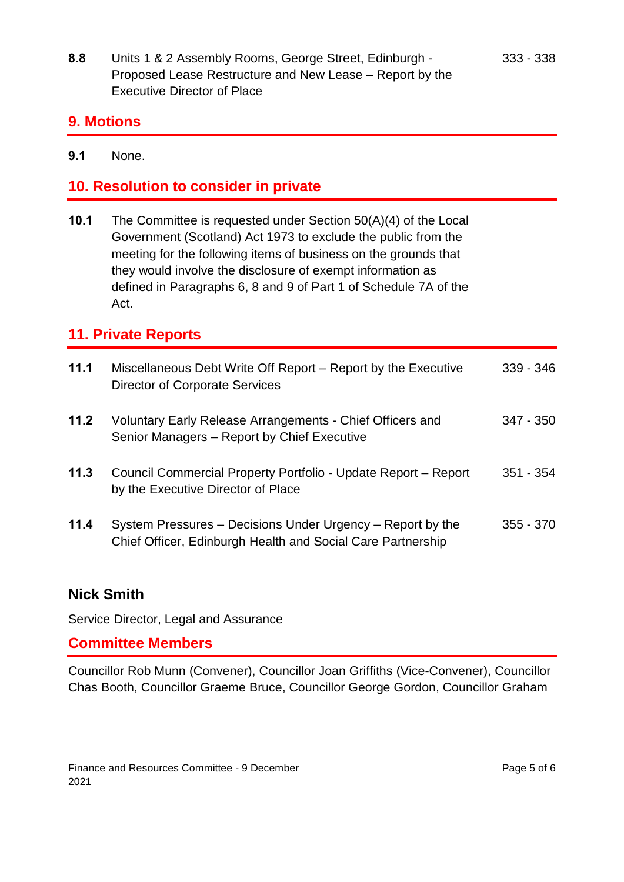**8.8** Units 1 & 2 Assembly Rooms, George Street, Edinburgh - Proposed Lease Restructure and New Lease – Report by the Executive Director of Place

#### **9. Motions**

**9.1** None.

# **10. Resolution to consider in private**

**10.1** The Committee is requested under Section 50(A)(4) of the Local Government (Scotland) Act 1973 to exclude the public from the meeting for the following items of business on the grounds that they would involve the disclosure of exempt information as defined in Paragraphs 6, 8 and 9 of Part 1 of Schedule 7A of the Act.

# **11. Private Reports**

| 11.1 | Miscellaneous Debt Write Off Report – Report by the Executive<br><b>Director of Corporate Services</b>                    | $339 - 346$ |
|------|---------------------------------------------------------------------------------------------------------------------------|-------------|
| 11.2 | Voluntary Early Release Arrangements - Chief Officers and<br>Senior Managers - Report by Chief Executive                  | $347 - 350$ |
| 11.3 | Council Commercial Property Portfolio - Update Report - Report<br>by the Executive Director of Place                      | $351 - 354$ |
| 11.4 | System Pressures – Decisions Under Urgency – Report by the<br>Chief Officer, Edinburgh Health and Social Care Partnership | $355 - 370$ |

# **Nick Smith**

Service Director, Legal and Assurance

# **Committee Members**

Councillor Rob Munn (Convener), Councillor Joan Griffiths (Vice-Convener), Councillor Chas Booth, Councillor Graeme Bruce, Councillor George Gordon, Councillor Graham